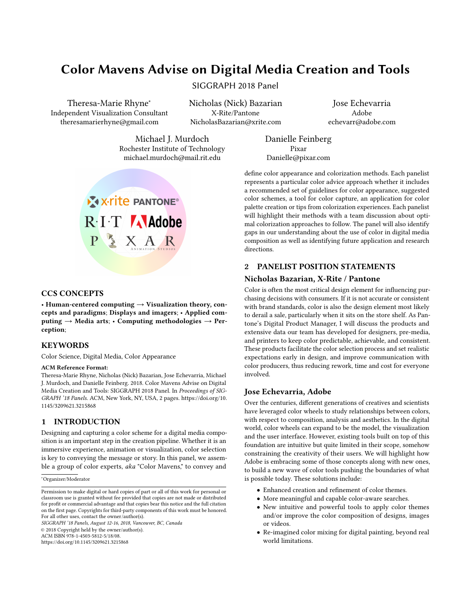# Color Mavens Advise on Digital Media Creation and Tools

SIGGRAPH 2018 Panel

Theresa-Marie Rhyne<sup>∗</sup> Independent Visualization Consultant theresamarierhyne@gmail.com

Nicholas (Nick) Bazarian X-Rite/Pantone NicholasBazarian@xrite.com

directions.

Jose Echevarria Adobe echevarr@adobe.com

Michael J. Murdoch Rochester Institute of Technology michael.murdoch@mail.rit.edu



#### CCS CONCEPTS

• Human-centered computing  $\rightarrow$  Visualization theory, concepts and paradigms; Displays and imagers; • Applied computing  $\rightarrow$  Media arts; • Computing methodologies  $\rightarrow$  Perception;

## **KEYWORDS**

Color Science, Digital Media, Color Appearance

#### ACM Reference Format:

Theresa-Marie Rhyne, Nicholas (Nick) Bazarian, Jose Echevarria, Michael J. Murdoch, and Danielle Feinberg. 2018. Color Mavens Advise on Digital Media Creation and Tools: SIGGRAPH 2018 Panel. In Proceedings of SIG-GRAPH '18 Panels. ACM, New York, NY, USA, [2](#page-1-0) pages. [https://doi.org/10.](https://doi.org/10.1145/3209621.3215868) [1145/3209621.3215868](https://doi.org/10.1145/3209621.3215868)

# 1 INTRODUCTION

Designing and capturing a color scheme for a digital media composition is an important step in the creation pipeline. Whether it is an immersive experience, animation or visualization, color selection is key to conveying the message or story. In this panel, we assemble a group of color experts, aka "Color Mavens," to convey and

<sup>∗</sup>Organizer/Moderator

SIGGRAPH '18 Panels, August 12-16, 2018, Vancouver, BC, Canada

© 2018 Copyright held by the owner/author(s). ACM ISBN 978-1-4503-5812-5/18/08.

<https://doi.org/10.1145/3209621.3215868>

# 2 PANELIST POSITION STATEMENTS

# Nicholas Bazarian, X-Rite / Pantone

Danielle Feinberg Pixar Danielle@pixar.com

Color is often the most critical design element for influencing purchasing decisions with consumers. If it is not accurate or consistent with brand standards, color is also the design element most likely to derail a sale, particularly when it sits on the store shelf. As Pantone's Digital Product Manager, I will discuss the products and extensive data our team has developed for designers, pre-media, and printers to keep color predictable, achievable, and consistent. These products facilitate the color selection process and set realistic expectations early in design, and improve communication with color producers, thus reducing rework, time and cost for everyone involved.

define color appearance and colorization methods. Each panelist represents a particular color advice approach whether it includes a recommended set of guidelines for color appearance, suggested color schemes, a tool for color capture, an application for color palette creation or tips from colorization experiences. Each panelist will highlight their methods with a team discussion about optimal colorization approaches to follow. The panel will also identify gaps in our understanding about the use of color in digital media composition as well as identifying future application and research

# Jose Echevarria, Adobe

Over the centuries, different generations of creatives and scientists have leveraged color wheels to study relationships between colors, with respect to composition, analysis and aesthetics. In the digital world, color wheels can expand to be the model, the visualization and the user interface. However, existing tools built on top of this foundation are intuitive but quite limited in their scope, somehow constraining the creativity of their users. We will highlight how Adobe is embracing some of those concepts along with new ones, to build a new wave of color tools pushing the boundaries of what is possible today. These solutions include:

- Enhanced creation and refinement of color themes.
- More meaningful and capable color-aware searches.
- New intuitive and powerful tools to apply color themes and/or improve the color composition of designs, images or videos.
- Re-imagined color mixing for digital painting, beyond real world limitations.

Permission to make digital or hard copies of part or all of this work for personal or classroom use is granted without fee provided that copies are not made or distributed for profit or commercial advantage and that copies bear this notice and the full citation on the first page. Copyrights for third-party components of this work must be honored. For all other uses, contact the owner/author(s).